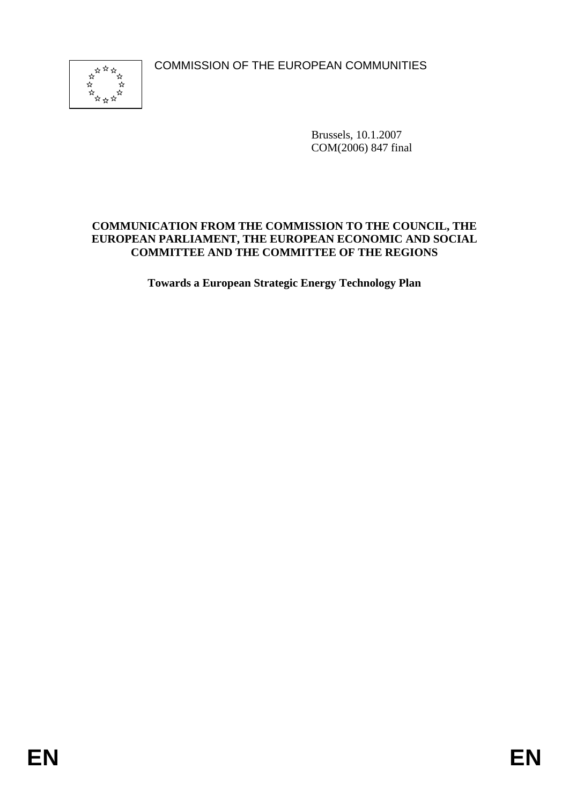COMMISSION OF THE EUROPEAN COMMUNITIES



Brussels, 10.1.2007 COM(2006) 847 final

## **COMMUNICATION FROM THE COMMISSION TO THE COUNCIL, THE EUROPEAN PARLIAMENT, THE EUROPEAN ECONOMIC AND SOCIAL COMMITTEE AND THE COMMITTEE OF THE REGIONS**

**Towards a European Strategic Energy Technology Plan**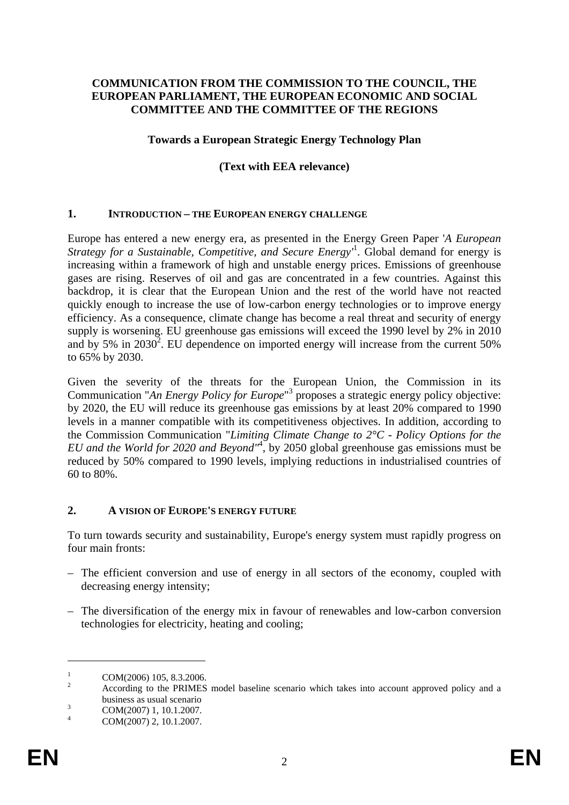### **COMMUNICATION FROM THE COMMISSION TO THE COUNCIL, THE EUROPEAN PARLIAMENT, THE EUROPEAN ECONOMIC AND SOCIAL COMMITTEE AND THE COMMITTEE OF THE REGIONS**

#### **Towards a European Strategic Energy Technology Plan**

#### **(Text with EEA relevance)**

#### **1. INTRODUCTION – THE EUROPEAN ENERGY CHALLENGE**

Europe has entered a new energy era, as presented in the Energy Green Paper '*A European Strategy for a Sustainable, Competitive, and Secure Energy'*<sup>1</sup> . Global demand for energy is increasing within a framework of high and unstable energy prices. Emissions of greenhouse gases are rising. Reserves of oil and gas are concentrated in a few countries. Against this backdrop, it is clear that the European Union and the rest of the world have not reacted quickly enough to increase the use of low-carbon energy technologies or to improve energy efficiency. As a consequence, climate change has become a real threat and security of energy supply is worsening. EU greenhouse gas emissions will exceed the 1990 level by 2% in 2010 and by 5% in 2030<sup>2</sup>. EU dependence on imported energy will increase from the current 50% to 65% by 2030.

Given the severity of the threats for the European Union, the Commission in its Communication "An Energy Policy for Europe"<sup>3</sup> proposes a strategic energy policy objective: by 2020, the EU will reduce its greenhouse gas emissions by at least 20% compared to 1990 levels in a manner compatible with its competitiveness objectives. In addition, according to the Commission Communication "*Limiting Climate Change to 2°C - Policy Options for the EU and the World for 2020 and Beyond"*<sup>4</sup> , by 2050 global greenhouse gas emissions must be reduced by 50% compared to 1990 levels, implying reductions in industrialised countries of 60 to 80%.

#### **2. A VISION OF EUROPE'S ENERGY FUTURE**

To turn towards security and sustainability, Europe's energy system must rapidly progress on four main fronts:

- The efficient conversion and use of energy in all sectors of the economy, coupled with decreasing energy intensity;
- The diversification of the energy mix in favour of renewables and low-carbon conversion technologies for electricity, heating and cooling;

<sup>&</sup>lt;sup>1</sup> COM(2006) 105, 8.3.2006.<br><sup>2</sup> According to the PRIMES model baseline scenario which takes into account approved policy and a business as usual scenario<br>  $COM(2007)$  1, 10.1.2007.

COM(2007) 2, 10.1.2007.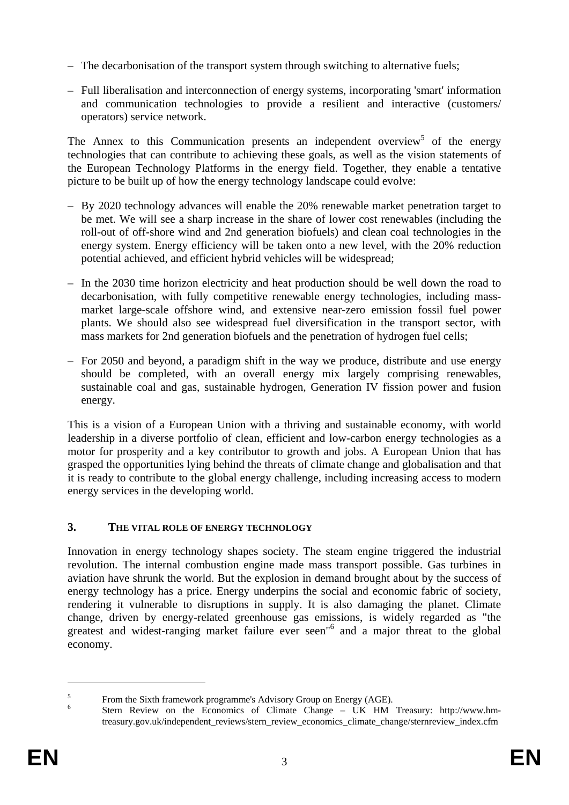- The decarbonisation of the transport system through switching to alternative fuels;
- Full liberalisation and interconnection of energy systems, incorporating 'smart' information and communication technologies to provide a resilient and interactive (customers/ operators) service network.

The Annex to this Communication presents an independent overview<sup>5</sup> of the energy technologies that can contribute to achieving these goals, as well as the vision statements of the European Technology Platforms in the energy field. Together, they enable a tentative picture to be built up of how the energy technology landscape could evolve:

- By 2020 technology advances will enable the 20% renewable market penetration target to be met. We will see a sharp increase in the share of lower cost renewables (including the roll-out of off-shore wind and 2nd generation biofuels) and clean coal technologies in the energy system. Energy efficiency will be taken onto a new level, with the 20% reduction potential achieved, and efficient hybrid vehicles will be widespread;
- In the 2030 time horizon electricity and heat production should be well down the road to decarbonisation, with fully competitive renewable energy technologies, including massmarket large-scale offshore wind, and extensive near-zero emission fossil fuel power plants. We should also see widespread fuel diversification in the transport sector, with mass markets for 2nd generation biofuels and the penetration of hydrogen fuel cells;
- For 2050 and beyond, a paradigm shift in the way we produce, distribute and use energy should be completed, with an overall energy mix largely comprising renewables, sustainable coal and gas, sustainable hydrogen, Generation IV fission power and fusion energy.

This is a vision of a European Union with a thriving and sustainable economy, with world leadership in a diverse portfolio of clean, efficient and low-carbon energy technologies as a motor for prosperity and a key contributor to growth and jobs. A European Union that has grasped the opportunities lying behind the threats of climate change and globalisation and that it is ready to contribute to the global energy challenge, including increasing access to modern energy services in the developing world.

# **3. THE VITAL ROLE OF ENERGY TECHNOLOGY**

Innovation in energy technology shapes society. The steam engine triggered the industrial revolution. The internal combustion engine made mass transport possible. Gas turbines in aviation have shrunk the world. But the explosion in demand brought about by the success of energy technology has a price. Energy underpins the social and economic fabric of society, rendering it vulnerable to disruptions in supply. It is also damaging the planet. Climate change, driven by energy-related greenhouse gas emissions, is widely regarded as "the greatest and widest-ranging market failure ever seen"<sup>6</sup> and a major threat to the global economy.

<u>.</u>

<sup>&</sup>lt;sup>5</sup> From the Sixth framework programme's Advisory Group on Energy (AGE).<br><sup>6</sup> Stern Review on the Economics of Climate Change – UK HM Treasury: http://www.hmtreasury.gov.uk/independent\_reviews/stern\_review\_economics\_climate\_change/sternreview\_index.cfm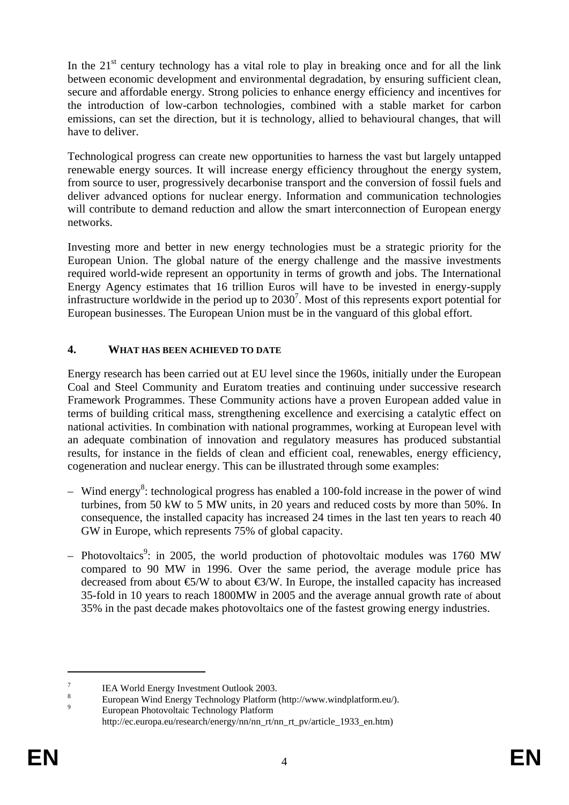In the  $21<sup>st</sup>$  century technology has a vital role to play in breaking once and for all the link between economic development and environmental degradation, by ensuring sufficient clean, secure and affordable energy. Strong policies to enhance energy efficiency and incentives for the introduction of low-carbon technologies, combined with a stable market for carbon emissions, can set the direction, but it is technology, allied to behavioural changes, that will have to deliver.

Technological progress can create new opportunities to harness the vast but largely untapped renewable energy sources. It will increase energy efficiency throughout the energy system, from source to user, progressively decarbonise transport and the conversion of fossil fuels and deliver advanced options for nuclear energy. Information and communication technologies will contribute to demand reduction and allow the smart interconnection of European energy networks.

Investing more and better in new energy technologies must be a strategic priority for the European Union. The global nature of the energy challenge and the massive investments required world-wide represent an opportunity in terms of growth and jobs. The International Energy Agency estimates that 16 trillion Euros will have to be invested in energy-supply infrastructure worldwide in the period up to  $2030^7$ . Most of this represents export potential for European businesses. The European Union must be in the vanguard of this global effort.

# **4. WHAT HAS BEEN ACHIEVED TO DATE**

Energy research has been carried out at EU level since the 1960s, initially under the European Coal and Steel Community and Euratom treaties and continuing under successive research Framework Programmes. These Community actions have a proven European added value in terms of building critical mass, strengthening excellence and exercising a catalytic effect on national activities. In combination with national programmes, working at European level with an adequate combination of innovation and regulatory measures has produced substantial results, for instance in the fields of clean and efficient coal, renewables, energy efficiency, cogeneration and nuclear energy. This can be illustrated through some examples:

- $-$  Wind energy<sup>8</sup>: technological progress has enabled a 100-fold increase in the power of wind turbines, from 50 kW to 5 MW units, in 20 years and reduced costs by more than 50%. In consequence, the installed capacity has increased 24 times in the last ten years to reach 40 GW in Europe, which represents 75% of global capacity.
- Photovoltaics<sup>9</sup>: in 2005, the world production of photovoltaic modules was 1760 MW compared to 90 MW in 1996. Over the same period, the average module price has decreased from about  $\mathfrak{S}/W$  to about  $\mathfrak{S}/W$ . In Europe, the installed capacity has increased 35-fold in 10 years to reach 1800MW in 2005 and the average annual growth rate of about 35% in the past decade makes photovoltaics one of the fastest growing energy industries.

<sup>&</sup>lt;sup>7</sup> IEA World Energy Investment Outlook 2003.<br><sup>8</sup> European Wind Energy Technology Platform (http://www.windplatform.eu/).<br><sup>9</sup> European Photovoltaic Technology Platform

http://ec.europa.eu/research/energy/nn/nn\_rt/nn\_rt\_pv/article\_1933\_en.htm)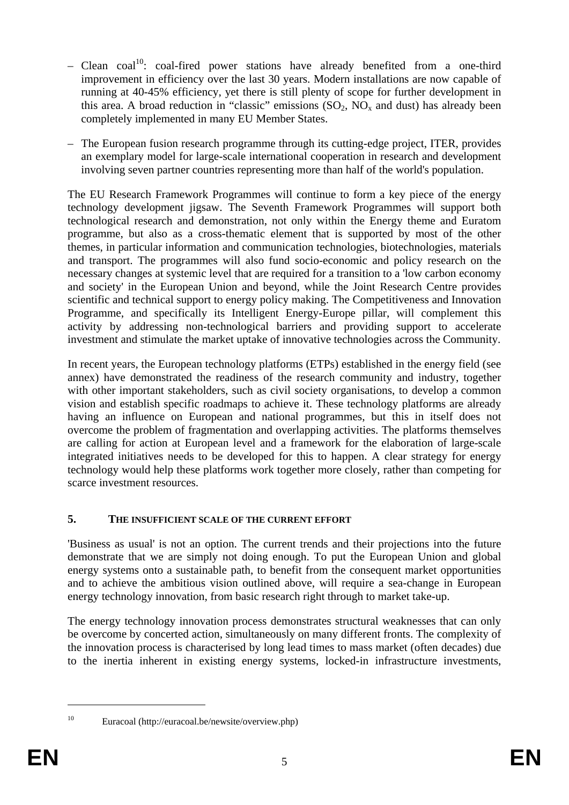- Clean coal<sup>10</sup>: coal-fired power stations have already benefited from a one-third improvement in efficiency over the last 30 years. Modern installations are now capable of running at 40-45% efficiency, yet there is still plenty of scope for further development in this area. A broad reduction in "classic" emissions  $(SO_2, NO_x$  and dust) has already been completely implemented in many EU Member States.
- The European fusion research programme through its cutting-edge project, ITER, provides an exemplary model for large-scale international cooperation in research and development involving seven partner countries representing more than half of the world's population.

The EU Research Framework Programmes will continue to form a key piece of the energy technology development jigsaw. The Seventh Framework Programmes will support both technological research and demonstration, not only within the Energy theme and Euratom programme, but also as a cross-thematic element that is supported by most of the other themes, in particular information and communication technologies, biotechnologies, materials and transport. The programmes will also fund socio-economic and policy research on the necessary changes at systemic level that are required for a transition to a 'low carbon economy and society' in the European Union and beyond, while the Joint Research Centre provides scientific and technical support to energy policy making. The Competitiveness and Innovation Programme, and specifically its Intelligent Energy-Europe pillar, will complement this activity by addressing non-technological barriers and providing support to accelerate investment and stimulate the market uptake of innovative technologies across the Community.

In recent years, the European technology platforms (ETPs) established in the energy field (see annex) have demonstrated the readiness of the research community and industry, together with other important stakeholders, such as civil society organisations, to develop a common vision and establish specific roadmaps to achieve it. These technology platforms are already having an influence on European and national programmes, but this in itself does not overcome the problem of fragmentation and overlapping activities. The platforms themselves are calling for action at European level and a framework for the elaboration of large-scale integrated initiatives needs to be developed for this to happen. A clear strategy for energy technology would help these platforms work together more closely, rather than competing for scarce investment resources.

# **5. THE INSUFFICIENT SCALE OF THE CURRENT EFFORT**

'Business as usual' is not an option. The current trends and their projections into the future demonstrate that we are simply not doing enough. To put the European Union and global energy systems onto a sustainable path, to benefit from the consequent market opportunities and to achieve the ambitious vision outlined above, will require a sea-change in European energy technology innovation, from basic research right through to market take-up.

The energy technology innovation process demonstrates structural weaknesses that can only be overcome by concerted action, simultaneously on many different fronts. The complexity of the innovation process is characterised by long lead times to mass market (often decades) due to the inertia inherent in existing energy systems, locked-in infrastructure investments,

<sup>10</sup> Euracoal (http://euracoal.be/newsite/overview.php)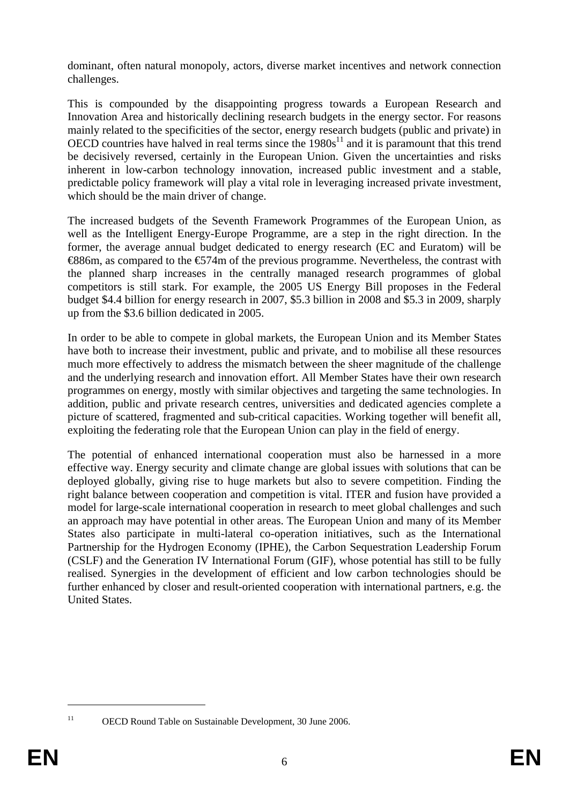dominant, often natural monopoly, actors, diverse market incentives and network connection challenges.

This is compounded by the disappointing progress towards a European Research and Innovation Area and historically declining research budgets in the energy sector. For reasons mainly related to the specificities of the sector, energy research budgets (public and private) in OECD countries have halved in real terms since the  $1980s<sup>11</sup>$  and it is paramount that this trend be decisively reversed, certainly in the European Union. Given the uncertainties and risks inherent in low-carbon technology innovation, increased public investment and a stable, predictable policy framework will play a vital role in leveraging increased private investment, which should be the main driver of change.

The increased budgets of the Seventh Framework Programmes of the European Union, as well as the Intelligent Energy-Europe Programme, are a step in the right direction. In the former, the average annual budget dedicated to energy research (EC and Euratom) will be  $\text{\textsterling}886m$ , as compared to the  $\text{\textsterling}74m$  of the previous programme. Nevertheless, the contrast with the planned sharp increases in the centrally managed research programmes of global competitors is still stark. For example, the 2005 US Energy Bill proposes in the Federal budget \$4.4 billion for energy research in 2007, \$5.3 billion in 2008 and \$5.3 in 2009, sharply up from the \$3.6 billion dedicated in 2005.

In order to be able to compete in global markets, the European Union and its Member States have both to increase their investment, public and private, and to mobilise all these resources much more effectively to address the mismatch between the sheer magnitude of the challenge and the underlying research and innovation effort. All Member States have their own research programmes on energy, mostly with similar objectives and targeting the same technologies. In addition, public and private research centres, universities and dedicated agencies complete a picture of scattered, fragmented and sub-critical capacities. Working together will benefit all, exploiting the federating role that the European Union can play in the field of energy.

The potential of enhanced international cooperation must also be harnessed in a more effective way. Energy security and climate change are global issues with solutions that can be deployed globally, giving rise to huge markets but also to severe competition. Finding the right balance between cooperation and competition is vital. ITER and fusion have provided a model for large-scale international cooperation in research to meet global challenges and such an approach may have potential in other areas. The European Union and many of its Member States also participate in multi-lateral co-operation initiatives, such as the International Partnership for the Hydrogen Economy (IPHE), the Carbon Sequestration Leadership Forum (CSLF) and the Generation IV International Forum (GIF), whose potential has still to be fully realised. Synergies in the development of efficient and low carbon technologies should be further enhanced by closer and result-oriented cooperation with international partners, e.g. the United States.

<sup>1</sup> 

<sup>&</sup>lt;sup>11</sup> OECD Round Table on Sustainable Development, 30 June 2006.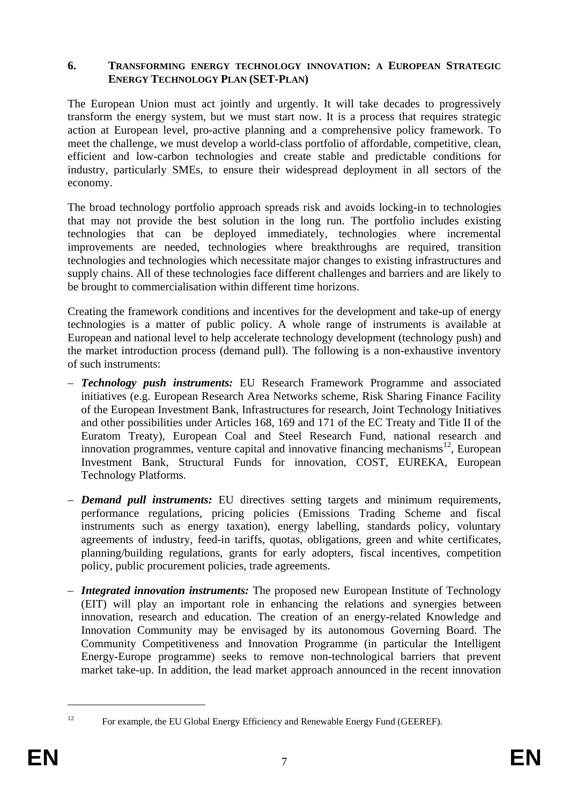### **6. TRANSFORMING ENERGY TECHNOLOGY INNOVATION: A EUROPEAN STRATEGIC ENERGY TECHNOLOGY PLAN (SET-PLAN)**

The European Union must act jointly and urgently. It will take decades to progressively transform the energy system, but we must start now. It is a process that requires strategic action at European level, pro-active planning and a comprehensive policy framework. To meet the challenge, we must develop a world-class portfolio of affordable, competitive, clean, efficient and low-carbon technologies and create stable and predictable conditions for industry, particularly SMEs, to ensure their widespread deployment in all sectors of the economy.

The broad technology portfolio approach spreads risk and avoids locking-in to technologies that may not provide the best solution in the long run. The portfolio includes existing technologies that can be deployed immediately, technologies where incremental improvements are needed, technologies where breakthroughs are required, transition technologies and technologies which necessitate major changes to existing infrastructures and supply chains. All of these technologies face different challenges and barriers and are likely to be brought to commercialisation within different time horizons.

Creating the framework conditions and incentives for the development and take-up of energy technologies is a matter of public policy. A whole range of instruments is available at European and national level to help accelerate technology development (technology push) and the market introduction process (demand pull). The following is a non-exhaustive inventory of such instruments:

- *Technology push instruments:* EU Research Framework Programme and associated initiatives (e.g. European Research Area Networks scheme, Risk Sharing Finance Facility of the European Investment Bank, Infrastructures for research, Joint Technology Initiatives and other possibilities under Articles 168, 169 and 171 of the EC Treaty and Title II of the Euratom Treaty), European Coal and Steel Research Fund, national research and innovation programmes, venture capital and innovative financing mechanisms<sup>12</sup>, European Investment Bank, Structural Funds for innovation, COST, EUREKA, European Technology Platforms.
- *Demand pull instruments:* EU directives setting targets and minimum requirements, performance regulations, pricing policies (Emissions Trading Scheme and fiscal instruments such as energy taxation), energy labelling, standards policy, voluntary agreements of industry, feed-in tariffs, quotas, obligations, green and white certificates, planning/building regulations, grants for early adopters, fiscal incentives, competition policy, public procurement policies, trade agreements.
- *Integrated innovation instruments:* The proposed new European Institute of Technology (EIT) will play an important role in enhancing the relations and synergies between innovation, research and education. The creation of an energy-related Knowledge and Innovation Community may be envisaged by its autonomous Governing Board. The Community Competitiveness and Innovation Programme (in particular the Intelligent Energy-Europe programme) seeks to remove non-technological barriers that prevent market take-up. In addition, the lead market approach announced in the recent innovation

<sup>1</sup> 

<sup>&</sup>lt;sup>12</sup> For example, the EU Global Energy Efficiency and Renewable Energy Fund (GEEREF).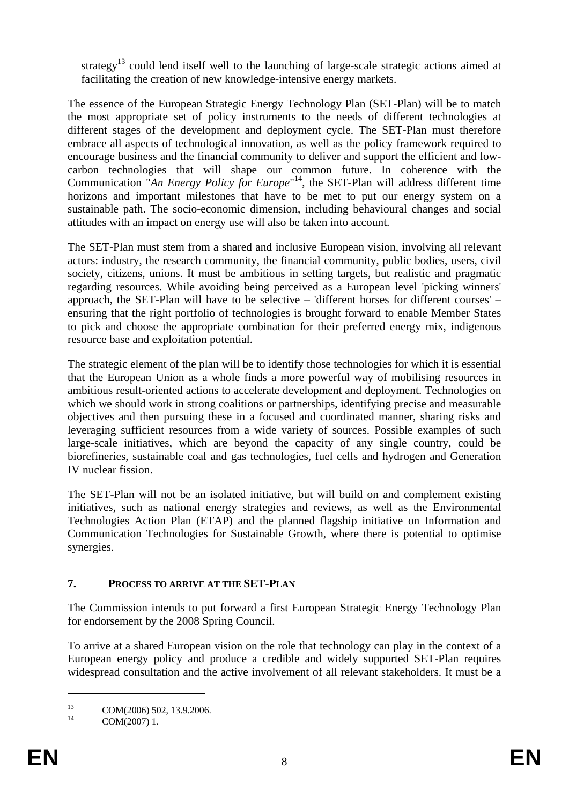strategy<sup>13</sup> could lend itself well to the launching of large-scale strategic actions aimed at facilitating the creation of new knowledge-intensive energy markets.

The essence of the European Strategic Energy Technology Plan (SET-Plan) will be to match the most appropriate set of policy instruments to the needs of different technologies at different stages of the development and deployment cycle. The SET-Plan must therefore embrace all aspects of technological innovation, as well as the policy framework required to encourage business and the financial community to deliver and support the efficient and lowcarbon technologies that will shape our common future. In coherence with the Communication "*An Energy Policy for Europe*" 14, the SET-Plan will address different time horizons and important milestones that have to be met to put our energy system on a sustainable path. The socio-economic dimension, including behavioural changes and social attitudes with an impact on energy use will also be taken into account.

The SET-Plan must stem from a shared and inclusive European vision, involving all relevant actors: industry, the research community, the financial community, public bodies, users, civil society, citizens, unions. It must be ambitious in setting targets, but realistic and pragmatic regarding resources. While avoiding being perceived as a European level 'picking winners' approach, the SET-Plan will have to be selective – 'different horses for different courses' – ensuring that the right portfolio of technologies is brought forward to enable Member States to pick and choose the appropriate combination for their preferred energy mix, indigenous resource base and exploitation potential.

The strategic element of the plan will be to identify those technologies for which it is essential that the European Union as a whole finds a more powerful way of mobilising resources in ambitious result-oriented actions to accelerate development and deployment. Technologies on which we should work in strong coalitions or partnerships, identifying precise and measurable objectives and then pursuing these in a focused and coordinated manner, sharing risks and leveraging sufficient resources from a wide variety of sources. Possible examples of such large-scale initiatives, which are beyond the capacity of any single country, could be biorefineries, sustainable coal and gas technologies, fuel cells and hydrogen and Generation IV nuclear fission.

The SET-Plan will not be an isolated initiative, but will build on and complement existing initiatives, such as national energy strategies and reviews, as well as the Environmental Technologies Action Plan (ETAP) and the planned flagship initiative on Information and Communication Technologies for Sustainable Growth, where there is potential to optimise synergies.

# **7. PROCESS TO ARRIVE AT THE SET-PLAN**

The Commission intends to put forward a first European Strategic Energy Technology Plan for endorsement by the 2008 Spring Council.

To arrive at a shared European vision on the role that technology can play in the context of a European energy policy and produce a credible and widely supported SET-Plan requires widespread consultation and the active involvement of all relevant stakeholders. It must be a

<sup>&</sup>lt;sup>13</sup> COM(2006) 502, 13.9.2006.<br>COM(2007) 1.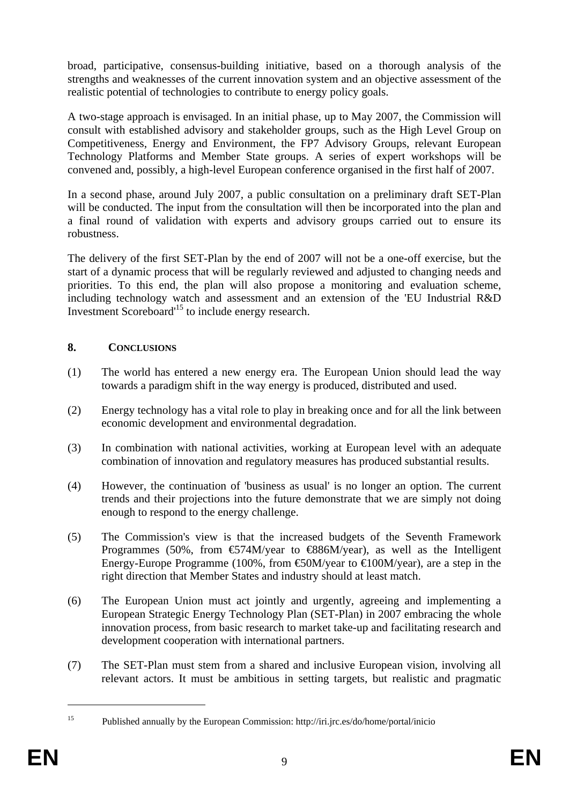broad, participative, consensus-building initiative, based on a thorough analysis of the strengths and weaknesses of the current innovation system and an objective assessment of the realistic potential of technologies to contribute to energy policy goals.

A two-stage approach is envisaged. In an initial phase, up to May 2007, the Commission will consult with established advisory and stakeholder groups, such as the High Level Group on Competitiveness, Energy and Environment, the FP7 Advisory Groups, relevant European Technology Platforms and Member State groups. A series of expert workshops will be convened and, possibly, a high-level European conference organised in the first half of 2007.

In a second phase, around July 2007, a public consultation on a preliminary draft SET-Plan will be conducted. The input from the consultation will then be incorporated into the plan and a final round of validation with experts and advisory groups carried out to ensure its robustness.

The delivery of the first SET-Plan by the end of 2007 will not be a one-off exercise, but the start of a dynamic process that will be regularly reviewed and adjusted to changing needs and priorities. To this end, the plan will also propose a monitoring and evaluation scheme, including technology watch and assessment and an extension of the 'EU Industrial R&D Investment Scoreboard'15 to include energy research.

# **8. CONCLUSIONS**

- (1) The world has entered a new energy era. The European Union should lead the way towards a paradigm shift in the way energy is produced, distributed and used.
- (2) Energy technology has a vital role to play in breaking once and for all the link between economic development and environmental degradation.
- (3) In combination with national activities, working at European level with an adequate combination of innovation and regulatory measures has produced substantial results.
- (4) However, the continuation of 'business as usual' is no longer an option. The current trends and their projections into the future demonstrate that we are simply not doing enough to respond to the energy challenge.
- (5) The Commission's view is that the increased budgets of the Seventh Framework Programmes (50%, from  $\text{\textsterling}74M/year$  to  $\text{\textsterling}886M/year$ ), as well as the Intelligent Energy-Europe Programme (100%, from  $\epsilon$ 60M/year to  $\epsilon$ 100M/year), are a step in the right direction that Member States and industry should at least match.
- (6) The European Union must act jointly and urgently, agreeing and implementing a European Strategic Energy Technology Plan (SET-Plan) in 2007 embracing the whole innovation process, from basic research to market take-up and facilitating research and development cooperation with international partners.
- (7) The SET-Plan must stem from a shared and inclusive European vision, involving all relevant actors. It must be ambitious in setting targets, but realistic and pragmatic

<sup>15</sup> Published annually by the European Commission: http://iri.jrc.es/do/home/portal/inicio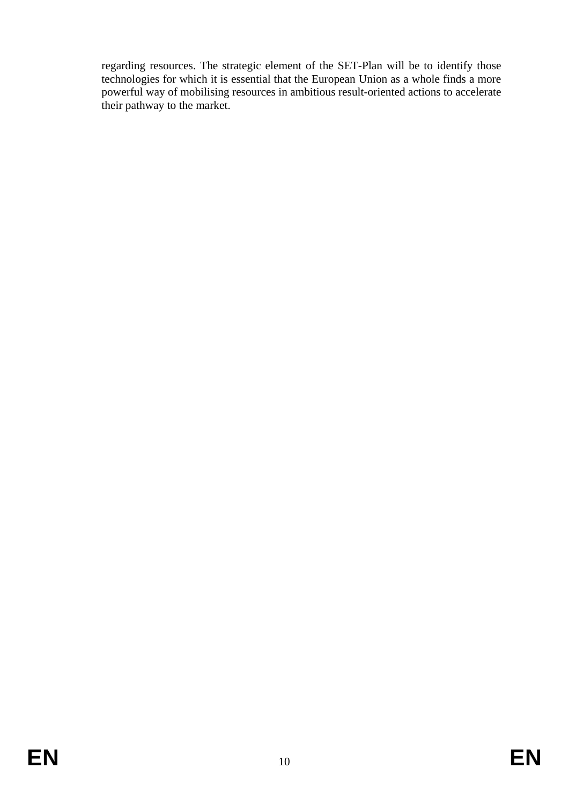regarding resources. The strategic element of the SET-Plan will be to identify those technologies for which it is essential that the European Union as a whole finds a more powerful way of mobilising resources in ambitious result-oriented actions to accelerate their pathway to the market.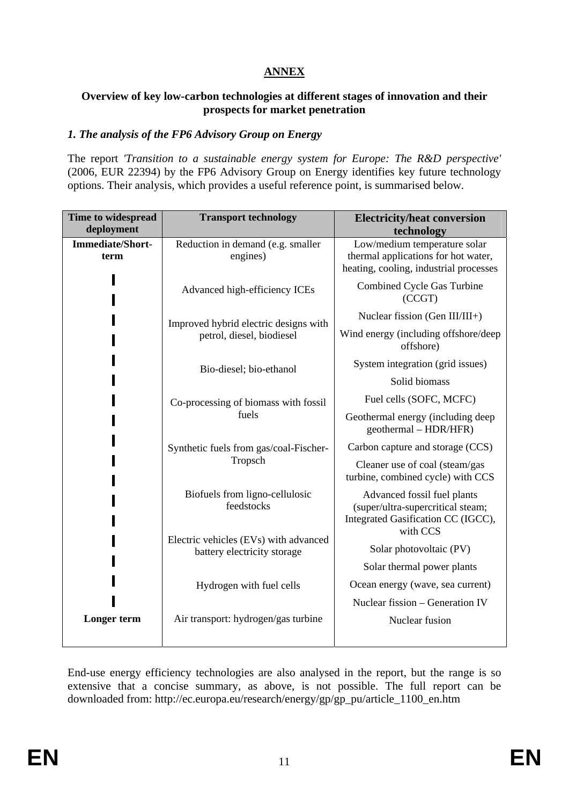# **ANNEX**

### **Overview of key low-carbon technologies at different stages of innovation and their prospects for market penetration**

## *1. The analysis of the FP6 Advisory Group on Energy*

The report *'Transition to a sustainable energy system for Europe: The R&D perspective'* (2006, EUR 22394) by the FP6 Advisory Group on Energy identifies key future technology options. Their analysis, which provides a useful reference point, is summarised below.

| Time to widespread<br>deployment | <b>Transport technology</b>                                              | <b>Electricity/heat conversion</b><br>technology                                                                   |
|----------------------------------|--------------------------------------------------------------------------|--------------------------------------------------------------------------------------------------------------------|
| Immediate/Short-<br>term         | Reduction in demand (e.g. smaller<br>engines)                            | Low/medium temperature solar<br>thermal applications for hot water,<br>heating, cooling, industrial processes      |
|                                  | Advanced high-efficiency ICEs                                            | Combined Cycle Gas Turbine<br>(CCGT)                                                                               |
|                                  | Improved hybrid electric designs with<br>petrol, diesel, biodiesel       | Nuclear fission (Gen III/III+)                                                                                     |
|                                  |                                                                          | Wind energy (including offshore/deep<br>offshore)                                                                  |
|                                  | Bio-diesel; bio-ethanol<br>Co-processing of biomass with fossil<br>fuels | System integration (grid issues)                                                                                   |
|                                  |                                                                          | Solid biomass                                                                                                      |
|                                  |                                                                          | Fuel cells (SOFC, MCFC)                                                                                            |
|                                  |                                                                          | Geothermal energy (including deep<br>geothermal – HDR/HFR)                                                         |
|                                  | Synthetic fuels from gas/coal-Fischer-                                   | Carbon capture and storage (CCS)                                                                                   |
|                                  | Tropsch                                                                  | Cleaner use of coal (steam/gas<br>turbine, combined cycle) with CCS                                                |
|                                  | Biofuels from ligno-cellulosic<br>feedstocks                             | Advanced fossil fuel plants<br>(super/ultra-supercritical steam;<br>Integrated Gasification CC (IGCC),<br>with CCS |
|                                  | Electric vehicles (EVs) with advanced<br>battery electricity storage     | Solar photovoltaic (PV)                                                                                            |
|                                  |                                                                          | Solar thermal power plants                                                                                         |
|                                  | Hydrogen with fuel cells                                                 | Ocean energy (wave, sea current)                                                                                   |
|                                  |                                                                          | Nuclear fission - Generation IV                                                                                    |
| Longer term                      | Air transport: hydrogen/gas turbine                                      | Nuclear fusion                                                                                                     |

End-use energy efficiency technologies are also analysed in the report, but the range is so extensive that a concise summary, as above, is not possible. The full report can be downloaded from: http://ec.europa.eu/research/energy/gp/gp\_pu/article\_1100\_en.htm